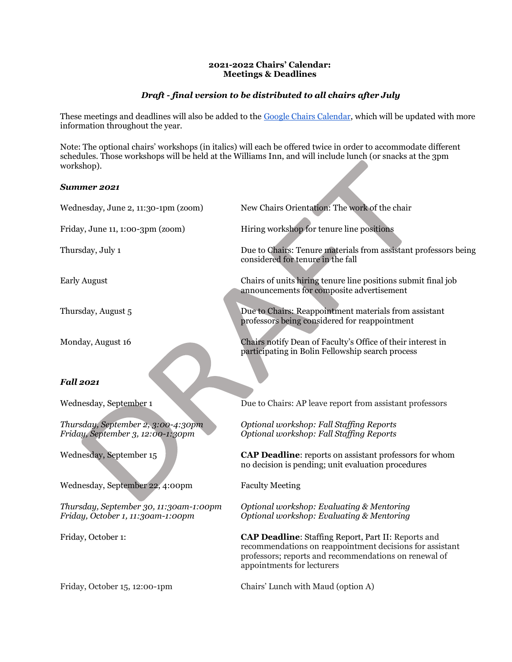### **2021-2022 Chairs' Calendar: Meetings & Deadlines**

# *Draft - final version to be distributed to all chairs after July*

These meetings and deadlines will also be added to the [Google Chairs Calendar,](https://calendar.google.com/calendar/u/0?cid=d2lsbGlhbXMuZWR1X3ZndnY5dGlyaHF2aWw2Nm9xZmo4cDBiaXVnQGdyb3VwLmNhbGVuZGFyLmdvb2dsZS5jb20) which will be updated with more information throughout the year.

Note: The optional chairs' workshops (in italics) will each be offered twice in order to accommodate different schedules. Those workshops will be held at the Williams Inn, and will include lunch (or snacks at the 3pm workshop).

## *Summer 2021*

| Wednesday, June 2, 11:30-1pm (zoom)                                         | New Chairs Orientation: The work of the chair                                                                                                                                                          |
|-----------------------------------------------------------------------------|--------------------------------------------------------------------------------------------------------------------------------------------------------------------------------------------------------|
| Friday, June 11, 1:00-3pm (zoom)                                            | Hiring workshop for tenure line positions                                                                                                                                                              |
| Thursday, July 1                                                            | Due to Chairs: Tenure materials from assistant professors being<br>considered for tenure in the fall                                                                                                   |
| <b>Early August</b>                                                         | Chairs of units hiring tenure line positions submit final job<br>announcements for composite advertisement                                                                                             |
| Thursday, August 5                                                          | Due to Chairs: Reappointment materials from assistant<br>professors being considered for reappointment                                                                                                 |
| Monday, August 16                                                           | Chairs notify Dean of Faculty's Office of their interest in<br>participating in Bolin Fellowship search process                                                                                        |
| <b>Fall 2021</b>                                                            |                                                                                                                                                                                                        |
| Wednesday, September 1                                                      | Due to Chairs: AP leave report from assistant professors                                                                                                                                               |
| Thursday, September 2, 3:00-4:30pm<br>Friday, September 3, 12:00-1:30pm     | Optional workshop: Fall Staffing Reports<br>Optional workshop: Fall Staffing Reports                                                                                                                   |
| Wednesday, September 15                                                     | <b>CAP Deadline:</b> reports on assistant professors for whom<br>no decision is pending; unit evaluation procedures                                                                                    |
| Wednesday, September 22, 4:00pm                                             | <b>Faculty Meeting</b>                                                                                                                                                                                 |
| Thursday, September 30, 11:30am-1:00pm<br>Friday, October 1, 11:30am-1:00pm | Optional workshop: Evaluating & Mentoring<br>Optional workshop: Evaluating & Mentoring                                                                                                                 |
| Friday, October 1:                                                          | CAP Deadline: Staffing Report, Part II: Reports and<br>recommendations on reappointment decisions for assistant<br>professors; reports and recommendations on renewal of<br>appointments for lecturers |
| $\mathbf{r}$ . $\mathbf{r}$<br>$\sim$ $\cdot$ $\cdot$                       |                                                                                                                                                                                                        |

Friday, October 15, 12:00-1pm Chairs' Lunch with Maud (option A)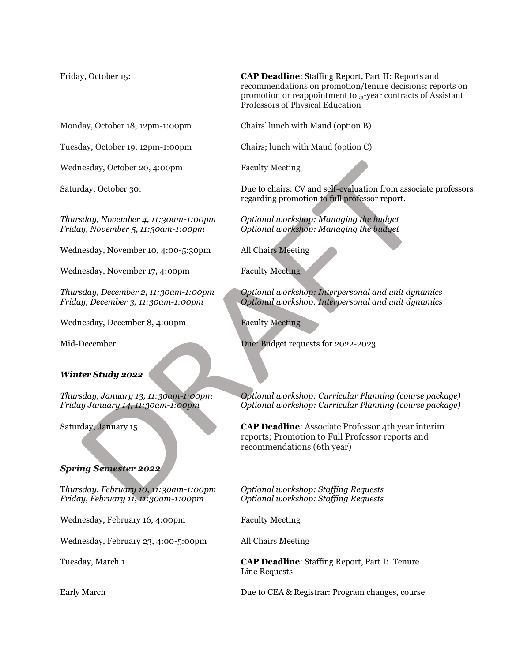Monday, October 18, 12pm-1:00pm Chairs' lunch with Maud (option B)

Tuesday, October 19, 12pm-1:00pm Chairs; lunch with Maud (option C)

Wednesday, October 20, 4:00pm Faculty Meeting

Wednesday, November 10, 4:00-5:30pm All Chairs Meeting

Wednesday, November 17, 4:00pm Faculty Meeting

Wednesday, December 8, 4:00pm Faculty Meeting

### *Winter Study 2022*

## *Spring Semester 2022*

T*hursday, February 10, 11:30am-1:00pm Optional workshop: Staffing Requests Friday, February 11, 11:30am-1:00pm Optional workshop: Staffing Requests*

Wednesday, February 16, 4:00pm Faculty Meeting

Wednesday, February 23, 4:00-5:00pm All Chairs Meeting

Friday, October 15: **CAP Deadline**: Staffing Report, Part II: Reports and recommendations on promotion/tenure decisions; reports on promotion or reappointment to 5-year contracts of Assistant Professors of Physical Education

Saturday, October 30: Due to chairs: CV and self-evaluation from associate professors regarding promotion to full professor report.

*Thursday, November 4, 11:30am-1:00pm Optional workshop: Managing the budget Friday, November 5, 11:30am-1:00pm Optional workshop: Managing the budget*

*Thursday, December 2, 11:30am-1:00pm Optional workshop: Interpersonal and unit dynamics Friday, December 3, 11:30am-1:00pm Optional workshop: Interpersonal and unit dynamics*

Mid-December Due: Budget requests for 2022-2023

*Thursday, January 13, 11:30am-1:00pm Optional workshop: Curricular Planning (course package) Friday January 14, 11;30am-1:00pm Optional workshop: Curricular Planning (course package)*

Saturday, January 15 **CAP Deadline**: Associate Professor 4th year interim reports; Promotion to Full Professor reports and recommendations (6th year)

Tuesday, March 1 **CAP Deadline**: Staffing Report, Part I: Tenure Line Requests

Early March **Due to CEA & Registrar: Program changes, course**